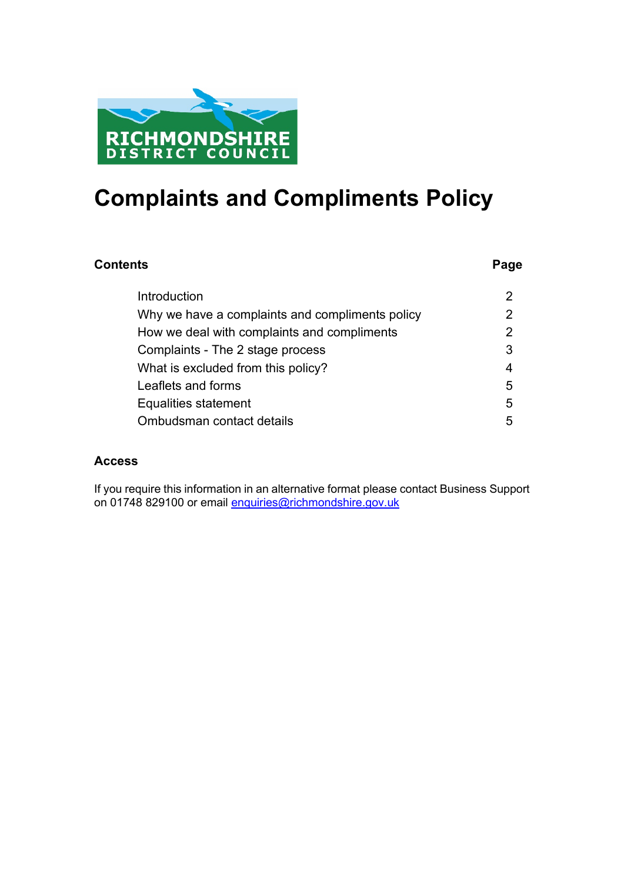

## **Complaints and Compliments Policy**

### **Contents** Page

| Introduction                                    |   |
|-------------------------------------------------|---|
| Why we have a complaints and compliments policy |   |
| How we deal with complaints and compliments     |   |
| Complaints - The 2 stage process                | 3 |
| What is excluded from this policy?              | 4 |
| Leaflets and forms                              | 5 |
| Equalities statement                            | 5 |
| Ombudsman contact details                       | 5 |

### **Access**

If you require this information in an alternative format please contact Business Support on 01748 829100 or email [enquiries@richmondshire.gov.uk](mailto:enquiries@richmondshire.gov.uk)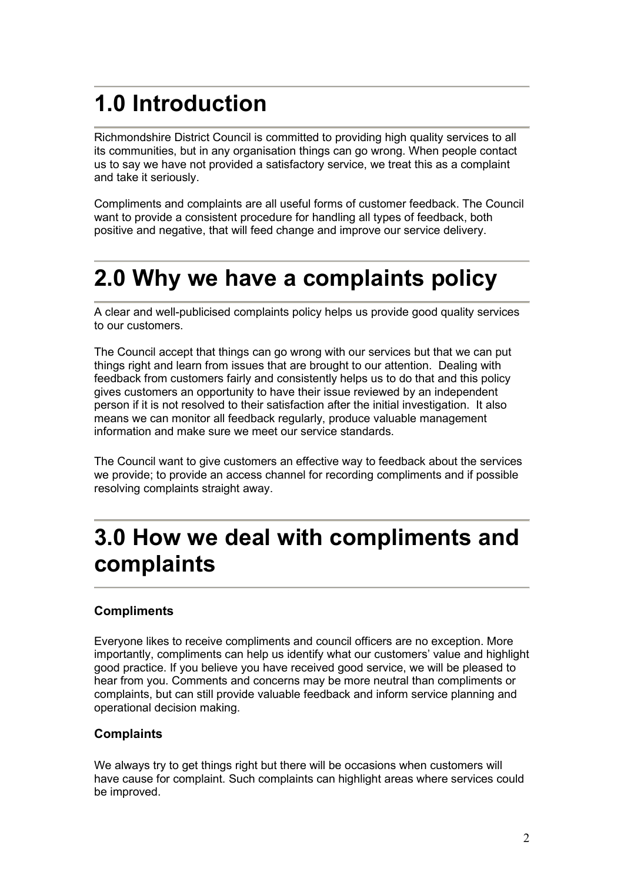# <span id="page-1-0"></span>**1.0 Introduction**

Richmondshire District Council is committed to providing high quality services to all its communities, but in any organisation things can go wrong. When people contact us to say we have not provided a satisfactory service, we treat this as a complaint and take it seriously.

Compliments and complaints are all useful forms of customer feedback. The Council want to provide a consistent procedure for handling all types of feedback, both positive and negative, that will feed change and improve our service delivery.

## **2.0 Why we have a complaints policy**

A clear and well-publicised complaints policy helps us provide good quality services to our customers.

The Council accept that things can go wrong with our services but that we can put things right and learn from issues that are brought to our attention. Dealing with feedback from customers fairly and consistently helps us to do that and this policy gives customers an opportunity to have their issue reviewed by an independent person if it is not resolved to their satisfaction after the initial investigation. It also means we can monitor all feedback regularly, produce valuable management information and make sure we meet our service standards.

The Council want to give customers an effective way to feedback about the services we provide; to provide an access channel for recording compliments and if possible resolving complaints straight away.

## **3.0 How we deal with compliments and complaints**

### **Compliments**

Everyone likes to receive compliments and council officers are no exception. More importantly, compliments can help us identify what our customers' value and highlight good practice. If you believe you have received good service, we will be pleased to hear from you. Comments and concerns may be more neutral than compliments or complaints, but can still provide valuable feedback and inform service planning and operational decision making.

### **Complaints**

We always try to get things right but there will be occasions when customers will have cause for complaint. Such complaints can highlight areas where services could be improved.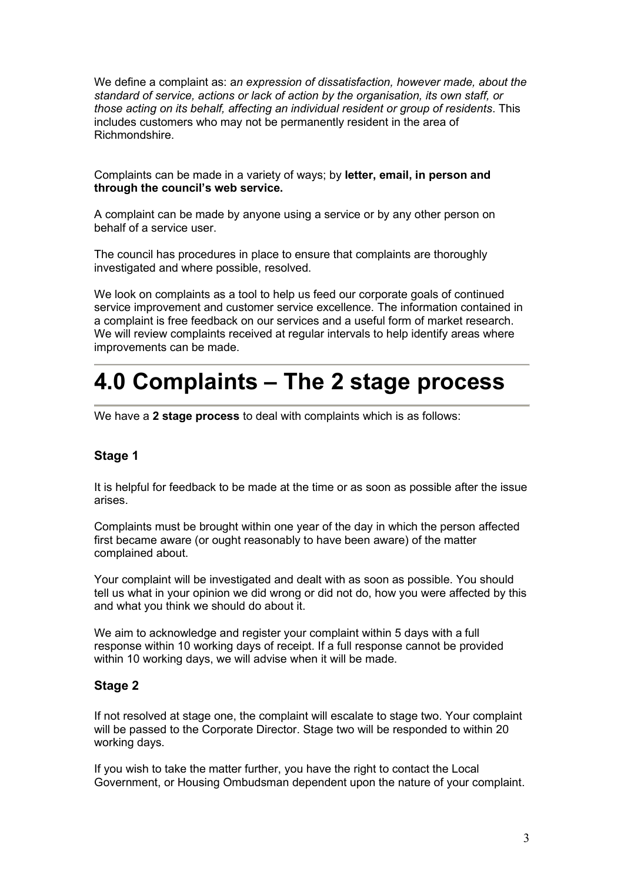We define a complaint as: a*n expression of dissatisfaction, however made, about the standard of service, actions or lack of action by the organisation, its own staff, or those acting on its behalf, affecting an individual resident or group of residents*. This includes customers who may not be permanently resident in the area of Richmondshire.

Complaints can be made in a variety of ways; by **letter, email, in person and through the council's web service.** 

A complaint can be made by anyone using a service or by any other person on behalf of a service user.

The council has procedures in place to ensure that complaints are thoroughly investigated and where possible, resolved.

We look on complaints as a tool to help us feed our corporate goals of continued service improvement and customer service excellence. The information contained in a complaint is free feedback on our services and a useful form of market research. We will review complaints received at regular intervals to help identify areas where improvements can be made.

## **4.0 Complaints – The 2 stage process**

We have a **2 stage process** to deal with complaints which is as follows:

#### **Stage 1**

It is helpful for feedback to be made at the time or as soon as possible after the issue arises.

Complaints must be brought within one year of the day in which the person affected first became aware (or ought reasonably to have been aware) of the matter complained about.

Your complaint will be investigated and dealt with as soon as possible. You should tell us what in your opinion we did wrong or did not do, how you were affected by this and what you think we should do about it.

We aim to acknowledge and register your complaint within 5 days with a full response within 10 working days of receipt. If a full response cannot be provided within 10 working days, we will advise when it will be made.

#### **Stage 2**

If not resolved at stage one, the complaint will escalate to stage two. Your complaint will be passed to the Corporate Director. Stage two will be responded to within 20 working days.

If you wish to take the matter further, you have the right to contact the Local Government, or Housing Ombudsman dependent upon the nature of your complaint.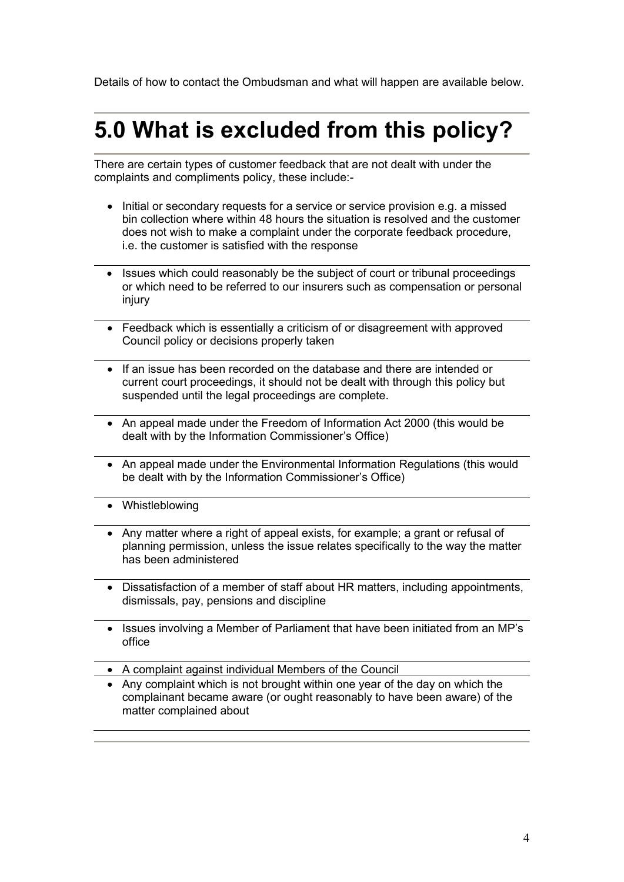Details of how to contact the Ombudsman and what will happen are available below.

## **5.0 What is excluded from this policy?**

There are certain types of customer feedback that are not dealt with under the complaints and compliments policy, these include:-

- Initial or secondary requests for a service or service provision e.g. a missed bin collection where within 48 hours the situation is resolved and the customer does not wish to make a complaint under the corporate feedback procedure, i.e. the customer is satisfied with the response
- Issues which could reasonably be the subject of court or tribunal proceedings or which need to be referred to our insurers such as compensation or personal injury
- Feedback which is essentially a criticism of or disagreement with approved Council policy or decisions properly taken
- If an issue has been recorded on the database and there are intended or current court proceedings, it should not be dealt with through this policy but suspended until the legal proceedings are complete.
- An appeal made under the Freedom of Information Act 2000 (this would be dealt with by the Information Commissioner's Office)
- An appeal made under the Environmental Information Regulations (this would be dealt with by the Information Commissioner's Office)
- Whistleblowing
- Any matter where a right of appeal exists, for example; a grant or refusal of planning permission, unless the issue relates specifically to the way the matter has been administered
- Dissatisfaction of a member of staff about HR matters, including appointments, dismissals, pay, pensions and discipline
- Issues involving a Member of Parliament that have been initiated from an MP's office
- A complaint against individual Members of the Council
- Any complaint which is not brought within one year of the day on which the complainant became aware (or ought reasonably to have been aware) of the matter complained about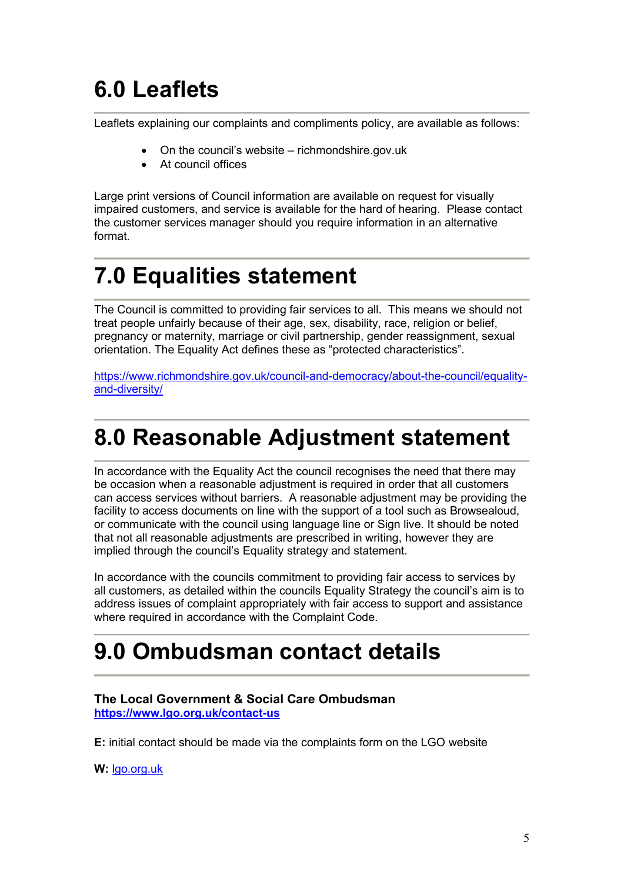# **6.0 Leaflets**

Leaflets explaining our complaints and compliments policy, are available as follows:

- On the council's website richmondshire.gov.uk
- At council offices

Large print versions of Council information are available on request for visually impaired customers, and service is available for the hard of hearing. Please contact the customer services manager should you require information in an alternative format.

# **7.0 Equalities statement**

The Council is committed to providing fair services to all. This means we should not treat people unfairly because of their age, sex, disability, race, religion or belief, pregnancy or maternity, marriage or civil partnership, gender reassignment, sexual orientation. The Equality Act defines these as "protected characteristics".

[https://www.richmondshire.gov.uk/council-and-democracy/about-the-council/equality](https://www.richmondshire.gov.uk/council-and-democracy/about-the-council/equality-and-diversity/)[and-diversity/](https://www.richmondshire.gov.uk/council-and-democracy/about-the-council/equality-and-diversity/)

## **8.0 Reasonable Adjustment statement**

In accordance with the Equality Act the council recognises the need that there may be occasion when a reasonable adjustment is required in order that all customers can access services without barriers. A reasonable adjustment may be providing the facility to access documents on line with the support of a tool such as Browsealoud, or communicate with the council using language line or Sign live. It should be noted that not all reasonable adjustments are prescribed in writing, however they are implied through the council's Equality strategy and statement.

In accordance with the councils commitment to providing fair access to services by all customers, as detailed within the councils Equality Strategy the council's aim is to address issues of complaint appropriately with fair access to support and assistance where required in accordance with the Complaint Code.

### **9.0 Ombudsman contact details**

#### **The Local Government & Social Care Ombudsman <https://www.lgo.org.uk/contact-us>**

**E:** initial contact should be made via the complaints form on the LGO website

**W:** [lgo.org.uk](https://www.lgo.org.uk/)